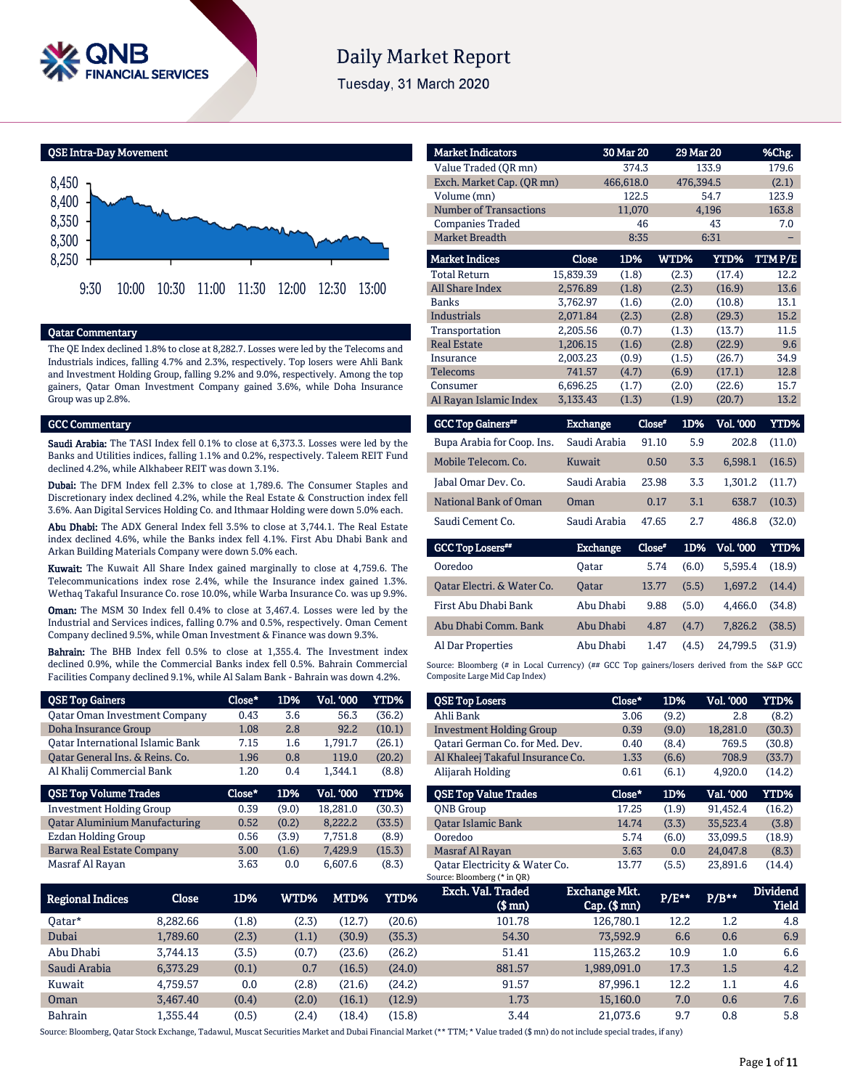

# **Daily Market Report**

Tuesday, 31 March 2020

QSE Intra-Day Movement



### Qatar Commentary

The QE Index declined 1.8% to close at 8,282.7. Losses were led by the Telecoms and Industrials indices, falling 4.7% and 2.3%, respectively. Top losers were Ahli Bank and Investment Holding Group, falling 9.2% and 9.0%, respectively. Among the top gainers, Qatar Oman Investment Company gained 3.6%, while Doha Insurance Group was up 2.8%.

#### GCC Commentary

Saudi Arabia: The TASI Index fell 0.1% to close at 6,373.3. Losses were led by the Banks and Utilities indices, falling 1.1% and 0.2%, respectively. Taleem REIT Fund declined 4.2%, while Alkhabeer REIT was down 3.1%.

Dubai: The DFM Index fell 2.3% to close at 1,789.6. The Consumer Staples and Discretionary index declined 4.2%, while the Real Estate & Construction index fell 3.6%. Aan Digital Services Holding Co. and Ithmaar Holding were down 5.0% each.

Abu Dhabi: The ADX General Index fell 3.5% to close at 3,744.1. The Real Estate index declined 4.6%, while the Banks index fell 4.1%. First Abu Dhabi Bank and Arkan Building Materials Company were down 5.0% each.

Kuwait: The Kuwait All Share Index gained marginally to close at 4,759.6. The Telecommunications index rose 2.4%, while the Insurance index gained 1.3%. Wethaq Takaful Insurance Co. rose 10.0%, while Warba Insurance Co. was up 9.9%.

Oman: The MSM 30 Index fell 0.4% to close at 3,467.4. Losses were led by the Industrial and Services indices, falling 0.7% and 0.5%, respectively. Oman Cement Company declined 9.5%, while Oman Investment & Finance was down 9.3%.

Bahrain: The BHB Index fell 0.5% to close at 1,355.4. The Investment index declined 0.9%, while the Commercial Banks index fell 0.5%. Bahrain Commercial Facilities Company declined 9.1%, while Al Salam Bank - Bahrain was down 4.2%.

| <b>QSE Top Gainers</b>                  | Close* | 1D%   | <b>Vol. '000</b> | <b>YTD%</b> |
|-----------------------------------------|--------|-------|------------------|-------------|
| <b>Qatar Oman Investment Company</b>    | 0.43   | 3.6   | 56.3             | (36.2)      |
| Doha Insurance Group                    | 1.08   | 2.8   | 92.2             | (10.1)      |
| <b>Oatar International Islamic Bank</b> | 7.15   | 1.6   | 1,791.7          | (26.1)      |
| Qatar General Ins. & Reins. Co.         | 1.96   | 0.8   | 119.0            | (20.2)      |
| Al Khalij Commercial Bank               | 1.20   | 0.4   | 1.344.1          | (8.8)       |
|                                         |        |       |                  |             |
| <b>QSE Top Volume Trades</b>            | Close* | 1D%   | <b>Vol. '000</b> | YTD%        |
| <b>Investment Holding Group</b>         | 0.39   | (9.0) | 18.281.0         | (30.3)      |
| <b>Qatar Aluminium Manufacturing</b>    | 0.52   | (0.2) | 8.222.2          | (33.5)      |
| Ezdan Holding Group                     | 0.56   | (3.9) | 7.751.8          | (8.9)       |
| Barwa Real Estate Company               | 3.00   | (1.6) | 7,429.9          | (15.3)      |

| <b>Market Indicators</b>  |                 | 30 Mar 20 | 29 Mar 20     |                  | %Chg.  |
|---------------------------|-----------------|-----------|---------------|------------------|--------|
| Value Traded (OR mn)      |                 | 374.3     |               | 133.9            | 179.6  |
| Exch. Market Cap. (QR mn) |                 | 466,618.0 | 476,394.5     |                  | (2.1)  |
| Volume (mn)               |                 | 122.5     |               | 54.7             | 123.9  |
| Number of Transactions    |                 | 11,070    |               | 4,196            | 163.8  |
| <b>Companies Traded</b>   |                 | 46        |               | 43               | 7.0    |
| <b>Market Breadth</b>     |                 | 8:35      |               | 6:31             |        |
| <b>Market Indices</b>     | <b>Close</b>    | 1D%       | WTD%          | <b>YTD%</b>      | TTMP/E |
| <b>Total Return</b>       | 15,839.39       | (1.8)     | (2.3)         | (17.4)           | 12.2   |
| <b>All Share Index</b>    | 2,576.89        | (1.8)     | (2.3)         | (16.9)           | 13.6   |
| Banks                     | 3.762.97        | (1.6)     | (2.0)         | (10.8)           | 13.1   |
| <b>Industrials</b>        | 2,071.84        | (2.3)     | (2.8)         | (29.3)           | 15.2   |
| Transportation            | 2,205.56        | (0.7)     | (1.3)         | (13.7)           | 11.5   |
| <b>Real Estate</b>        | 1,206.15        | (1.6)     | (2.8)         | (22.9)           | 9.6    |
| Insurance                 | 2,003.23        | (0.9)     | (1.5)         | (26.7)           | 34.9   |
| <b>Telecoms</b>           | 741.57          | (4.7)     | (6.9)         | (17.1)           | 12.8   |
| Consumer                  | 6,696.25        | (1.7)     | (2.0)         | (22.6)           | 15.7   |
| Al Rayan Islamic Index    | 3,133.43        | (1.3)     | (1.9)         | (20.7)           | 13.2   |
| <b>GCC Top Gainers</b> "  | <b>Exchange</b> |           | 1D%<br>Close* | <b>Vol. '000</b> | YTD%   |

|                            | ________     |       |     |         |        |
|----------------------------|--------------|-------|-----|---------|--------|
| Bupa Arabia for Coop. Ins. | Saudi Arabia | 91.10 | 5.9 | 202.8   | (11.0) |
| Mobile Telecom. Co.        | Kuwait       | 0.50  | 3.3 | 6.598.1 | (16.5) |
| Jabal Omar Dev. Co.        | Saudi Arabia | 23.98 | 3.3 | 1.301.2 | (11.7) |
| National Bank of Oman      | Oman         | 0.17  | 3.1 | 638.7   | (10.3) |
| Saudi Cement Co.           | Saudi Arabia | 47.65 | 2.7 | 486.8   | (32.0) |

| <b>GCC Top Losers**</b>    | Exchange     | Close* |       | 1D% Vol. '000 | YTD%   |
|----------------------------|--------------|--------|-------|---------------|--------|
| Ooredoo                    | Oatar        | 5.74   | (6.0) | 5.595.4       | (18.9) |
| Oatar Electri. & Water Co. | <b>Oatar</b> | 13.77  | (5.5) | 1.697.2       | (14.4) |
| First Abu Dhabi Bank       | Abu Dhabi    | 9.88   | (5.0) | 4.466.0       | (34.8) |
| Abu Dhabi Comm. Bank       | Abu Dhabi    | 4.87   | (4.7) | 7.826.2       | (38.5) |
| Al Dar Properties          | Abu Dhabi    | 1.47   | (4.5) | 24.799.5      | (31.9) |

Source: Bloomberg (# in Local Currency) (## GCC Top gainers/losers derived from the S&P GCC Composite Large Mid Cap Index)

| <b>QSE Top Losers</b>            | Close* | 1D%   | <b>Vol. '000</b> | <b>YTD%</b> |
|----------------------------------|--------|-------|------------------|-------------|
| Ahli Bank                        | 3.06   | (9.2) | 2.8              | (8.2)       |
| <b>Investment Holding Group</b>  | 0.39   | (9.0) | 18,281.0         | (30.3)      |
| Oatari German Co. for Med. Dev.  | 0.40   | (8.4) | 769.5            | (30.8)      |
| Al Khaleej Takaful Insurance Co. | 1.33   | (6.6) | 708.9            | (33.7)      |
| Alijarah Holding                 | 0.61   | (6.1) | 4,920.0          | (14.2)      |
|                                  |        |       |                  |             |
|                                  |        |       |                  |             |
| <b>OSE Top Value Trades</b>      | Close* | 1D%   | Val. '000        | YTD%        |
| <b>ONB</b> Group                 | 17.25  | (1.9) | 91,452.4         | (16.2)      |
| <b>Oatar Islamic Bank</b>        | 14.74  | (3.3) | 35.523.4         | (3.8)       |
| Ooredoo                          | 5.74   | (6.0) | 33.099.5         | (18.9)      |
| Masraf Al Rayan                  | 3.63   | 0.0   | 24,047.8         | (8.3)       |

| Regional Indices | Close    | 1D%   | WTD%  | MTD%   | YTD%   | Exch. Val. Traded<br>$$$ mn $)$ | <b>Exchange Mkt.</b><br>$Cap.$ ( $$mn)$ | $P/E***$ | $P/B***$ | <b>Dividend</b><br><b>Yield</b> |
|------------------|----------|-------|-------|--------|--------|---------------------------------|-----------------------------------------|----------|----------|---------------------------------|
| 0atar*           | 8.282.66 | (1.8) | (2.3) | (12.7) | (20.6) | 101.78                          | 126,780.1                               | 12.2     | 1.2      | 4.8                             |
| Dubai            | L.789.60 | (2.3) | (1.1) | (30.9) | (35.3) | 54.30                           | 73.592.9                                | 6.6      | 0.6      | 6.9                             |
| Abu Dhabi        | 3.744.13 | (3.5) | (0.7) | (23.6) | (26.2) | 51.41                           | 115.263.2                               | 10.9     | 1.0      | 6.6                             |
| Saudi Arabia     | 6,373.29 | (0.1) | 0.7   | (16.5) | (24.0) | 881.57                          | 1,989,091.0                             | 17.3     | 1.5      | 4.2                             |
| Kuwait           | 4.759.57 | 0.0   | (2.8) | (21.6) | (24.2) | 91.57                           | 87.996.1                                | 12.2     | 1.1      | 4.6                             |
| Oman             | 3.467.40 | (0.4) | (2.0) | (16.1) | (12.9) | 1.73                            | 15,160.0                                | 7.0      | 0.6      | 7.6                             |
| <b>Bahrain</b>   | 1.355.44 | (0.5) | (2.4) | (18.4) | (15.8) | 3.44                            | 21,073.6                                | 9.7      | 0.8      | 5.8                             |

Source: Bloomberg, Oatar Stock Exchange, Tadawul, Muscat Securities Market and Dubai Financial Market (\*\* TTM; \* Value traded (\$ mn) do not include special trades, if any)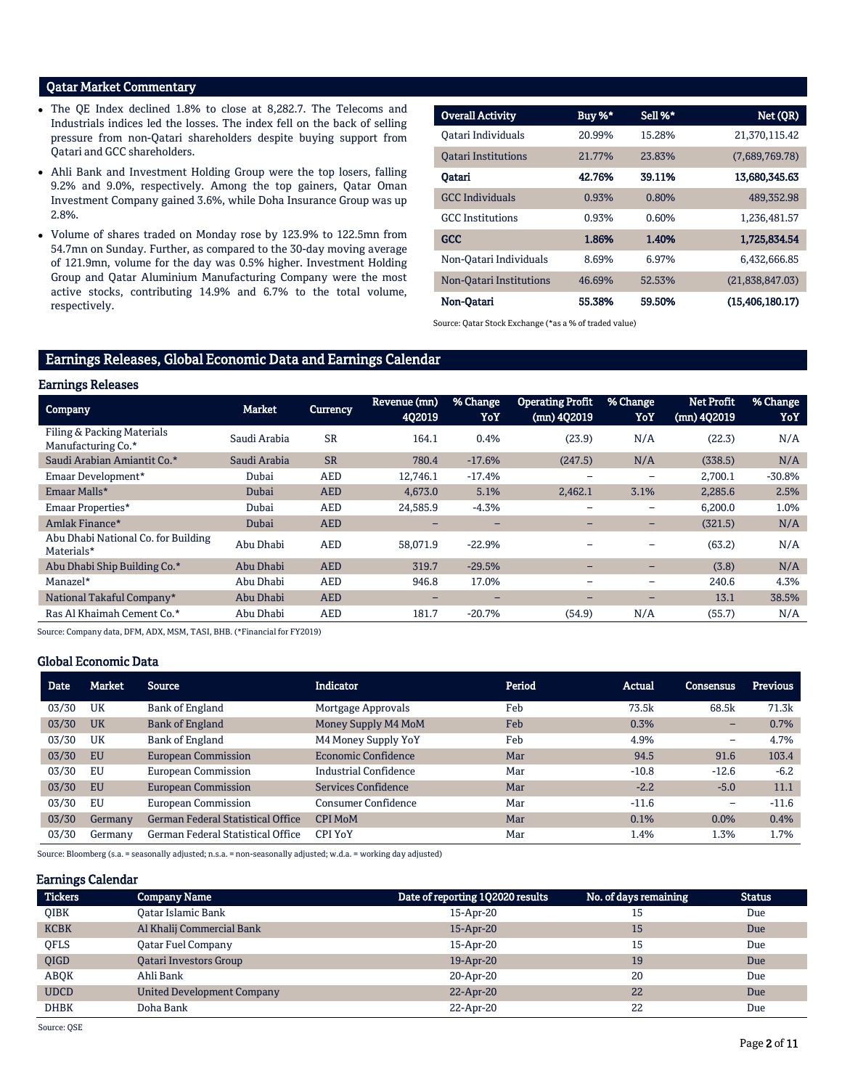# Qatar Market Commentary

- The QE Index declined 1.8% to close at 8,282.7. The Telecoms and Industrials indices led the losses. The index fell on the back of selling pressure from non-Qatari shareholders despite buying support from Qatari and GCC shareholders.
- Ahli Bank and Investment Holding Group were the top losers, falling 9.2% and 9.0%, respectively. Among the top gainers, Qatar Oman Investment Company gained 3.6%, while Doha Insurance Group was up 2.8%.
- Volume of shares traded on Monday rose by 123.9% to 122.5mn from 54.7mn on Sunday. Further, as compared to the 30-day moving average of 121.9mn, volume for the day was 0.5% higher. Investment Holding Group and Qatar Aluminium Manufacturing Company were the most active stocks, contributing 14.9% and 6.7% to the total volume, respectively.

| <b>Overall Activity</b>    | Buy %* | Sell %* | Net (QR)          |
|----------------------------|--------|---------|-------------------|
| Oatari Individuals         | 20.99% | 15.28%  | 21.370.115.42     |
| <b>Oatari Institutions</b> | 21.77% | 23.83%  | (7,689,769.78)    |
| Oatari                     | 42.76% | 39.11%  | 13,680,345.63     |
| <b>GCC</b> Individuals     | 0.93%  | 0.80%   | 489,352.98        |
| <b>GCC</b> Institutions    | 0.93%  | 0.60%   | 1,236,481.57      |
| <b>GCC</b>                 | 1.86%  | 1.40%   | 1,725,834.54      |
| Non-Oatari Individuals     | 8.69%  | 6.97%   | 6.432.666.85      |
| Non-Qatari Institutions    | 46.69% | 52.53%  | (21,838,847.03)   |
| Non-Oatari                 | 55.38% | 59.50%  | (15, 406, 180.17) |

Source: Qatar Stock Exchange (\*as a % of traded value)

# Earnings Releases, Global Economic Data and Earnings Calendar

#### Earnings Releases

| -----------------                                                                                                                                       |               |            |                          |                 |                                        |                 |                                    |                 |
|---------------------------------------------------------------------------------------------------------------------------------------------------------|---------------|------------|--------------------------|-----------------|----------------------------------------|-----------------|------------------------------------|-----------------|
| <b>Company</b>                                                                                                                                          | <b>Market</b> | Currency   | Revenue (mn)<br>4Q2019   | % Change<br>YoY | <b>Operating Profit</b><br>(mn) 4Q2019 | % Change<br>YoY | <b>Net Profit</b><br>$(mn)$ 4Q2019 | % Change<br>YoY |
| Filing & Packing Materials<br>Manufacturing Co.*                                                                                                        | Saudi Arabia  | <b>SR</b>  | 164.1                    | 0.4%            | (23.9)                                 | N/A             | (22.3)                             | N/A             |
| Saudi Arabian Amiantit Co.*                                                                                                                             | Saudi Arabia  | <b>SR</b>  | 780.4                    | $-17.6%$        | (247.5)                                | N/A             | (338.5)                            | N/A             |
| Emaar Development*                                                                                                                                      | Dubai         | <b>AED</b> | 12.746.1                 | $-17.4%$        |                                        |                 | 2,700.1                            | $-30.8%$        |
| Emaar Malls*                                                                                                                                            | Dubai         | <b>AED</b> | 4,673.0                  | 5.1%            | 2,462.1                                | 3.1%            | 2,285.6                            | 2.5%            |
| Emaar Properties*                                                                                                                                       | Dubai         | <b>AED</b> | 24,585.9                 | $-4.3%$         | -                                      | $\qquad \qquad$ | 6,200.0                            | 1.0%            |
| Amlak Finance*                                                                                                                                          | Dubai         | <b>AED</b> | -                        | -               | -                                      | -               | (321.5)                            | N/A             |
| Abu Dhabi National Co. for Building<br>Materials*                                                                                                       | Abu Dhabi     | <b>AED</b> | 58,071.9                 | $-22.9%$        |                                        |                 | (63.2)                             | N/A             |
| Abu Dhabi Ship Building Co.*                                                                                                                            | Abu Dhabi     | <b>AED</b> | 319.7                    | $-29.5%$        | -                                      | -               | (3.8)                              | N/A             |
| Manazel*                                                                                                                                                | Abu Dhabi     | <b>AED</b> | 946.8                    | 17.0%           | -                                      | $\qquad \qquad$ | 240.6                              | 4.3%            |
| National Takaful Company*                                                                                                                               | Abu Dhabi     | <b>AED</b> | $\overline{\phantom{0}}$ | -               | -                                      | -               | 13.1                               | 38.5%           |
| Ras Al Khaimah Cement Co.*                                                                                                                              | Abu Dhabi     | <b>AED</b> | 181.7                    | $-20.7%$        | (54.9)                                 | N/A             | (55.7)                             | N/A             |
| $\alpha$ , $\alpha$ , $\alpha$ , $\alpha$ , $\alpha$ , $\alpha$ , $\alpha$ , $\alpha$ , $\alpha$ , $\alpha$ , $\alpha$ , $\alpha$ , $\alpha$ , $\alpha$ |               |            |                          |                 |                                        |                 |                                    |                 |

Source: Company data, DFM, ADX, MSM, TASI, BHB. (\*Financial for FY2019)

## Global Economic Data

| Date  | <b>Market</b> | Source                                   | <b>Indicator</b>             | Period | <b>Actual</b> | <b>Consensus</b> | <b>Previous</b> |
|-------|---------------|------------------------------------------|------------------------------|--------|---------------|------------------|-----------------|
| 03/30 | UK            | Bank of England                          | Mortgage Approvals           | Feb    | 73.5k         | 68.5k            | 71.3k           |
| 03/30 | <b>UK</b>     | <b>Bank of England</b>                   | Money Supply M4 MoM          | Feb    | 0.3%          | -                | 0.7%            |
| 03/30 | UK            | Bank of England                          | M4 Money Supply YoY          | Feb    | 4.9%          | -                | 4.7%            |
| 03/30 | <b>EU</b>     | <b>European Commission</b>               | <b>Economic Confidence</b>   | Mar    | 94.5          | 91.6             | 103.4           |
| 03/30 | EU            | <b>European Commission</b>               | <b>Industrial Confidence</b> | Mar    | $-10.8$       | $-12.6$          | $-6.2$          |
| 03/30 | <b>EU</b>     | <b>European Commission</b>               | Services Confidence          | Mar    | $-2.2$        | $-5.0$           | 11.1            |
| 03/30 | EU            | <b>European Commission</b>               | Consumer Confidence          | Mar    | $-11.6$       | -                | $-11.6$         |
| 03/30 | Germany       | <b>German Federal Statistical Office</b> | <b>CPI MoM</b>               | Mar    | 0.1%          | 0.0%             | 0.4%            |
| 03/30 | Germanv       | <b>German Federal Statistical Office</b> | <b>CPI YoY</b>               | Mar    | 1.4%          | 1.3%             | 1.7%            |

Source: Bloomberg (s.a. = seasonally adjusted; n.s.a. = non-seasonally adjusted; w.d.a. = working day adjusted)

## Earnings Calendar

| <b>Tickers</b> | <b>Company Name</b>           | Date of reporting 1Q2020 results | No. of days remaining | <b>Status</b> |
|----------------|-------------------------------|----------------------------------|-----------------------|---------------|
| <b>OIBK</b>    | <b>Oatar Islamic Bank</b>     | 15-Apr-20                        | 15                    | Due           |
| <b>KCBK</b>    | Al Khalij Commercial Bank     | $15$ -Apr-20                     | 15                    | Due           |
| <b>OFLS</b>    | <b>Qatar Fuel Company</b>     | 15-Apr-20                        | 15                    | Due           |
| QIGD           | <b>Oatari Investors Group</b> | 19-Apr-20                        | 19                    | Due           |
| <b>ABOK</b>    | Ahli Bank                     | 20-Apr-20                        | 20                    | Due           |
| <b>UDCD</b>    | United Development Company    | 22-Apr-20                        | 22                    | Due           |
| <b>DHBK</b>    | Doha Bank                     | 22-Apr-20                        | 22                    | Due           |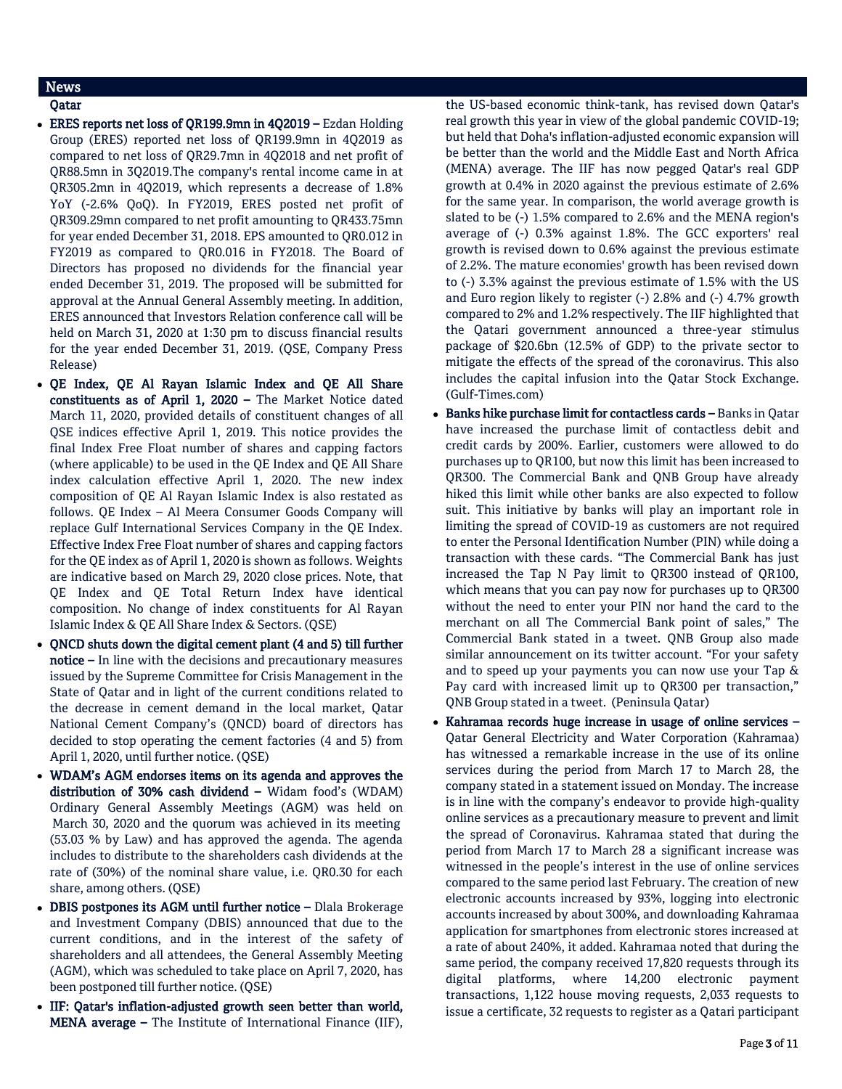# News

- Qatar
- ERES reports net loss of QR199.9mn in 4Q2019 Ezdan Holding Group (ERES) reported net loss of QR199.9mn in 4Q2019 as compared to net loss of QR29.7mn in 4Q2018 and net profit of QR88.5mn in 3Q2019.The company's rental income came in at QR305.2mn in 4Q2019, which represents a decrease of 1.8% YoY (-2.6% QoQ). In FY2019, ERES posted net profit of QR309.29mn compared to net profit amounting to QR433.75mn for year ended December 31, 2018. EPS amounted to QR0.012 in FY2019 as compared to QR0.016 in FY2018. The Board of Directors has proposed no dividends for the financial year ended December 31, 2019. The proposed will be submitted for approval at the Annual General Assembly meeting. In addition, ERES announced that Investors Relation conference call will be held on March 31, 2020 at 1:30 pm to discuss financial results for the year ended December 31, 2019. (QSE, Company Press Release)
- QE Index, QE Al Rayan Islamic Index and QE All Share constituents as of April 1, 2020 – The Market Notice dated March 11, 2020, provided details of constituent changes of all QSE indices effective April 1, 2019. This notice provides the final Index Free Float number of shares and capping factors (where applicable) to be used in the QE Index and QE All Share index calculation effective April 1, 2020. The new index composition of QE Al Rayan Islamic Index is also restated as follows. QE Index – Al Meera Consumer Goods Company will replace Gulf International Services Company in the QE Index. Effective Index Free Float number of shares and capping factors for the QE index as of April 1, 2020 is shown as follows. Weights are indicative based on March 29, 2020 close prices. Note, that QE Index and QE Total Return Index have identical composition. No change of index constituents for Al Rayan Islamic Index & QE All Share Index & Sectors. (QSE)
- QNCD shuts down the digital cement plant (4 and 5) till further notice – In line with the decisions and precautionary measures issued by the Supreme Committee for Crisis Management in the State of Qatar and in light of the current conditions related to the decrease in cement demand in the local market, Qatar National Cement Company's (QNCD) board of directors has decided to stop operating the cement factories (4 and 5) from April 1, 2020, until further notice. (QSE)
- WDAM's AGM endorses items on its agenda and approves the distribution of 30% cash dividend – Widam food's (WDAM) Ordinary General Assembly Meetings (AGM) was held on March 30, 2020 and the quorum was achieved in its meeting (53.03 % by Law) and has approved the agenda. The agenda includes to distribute to the shareholders cash dividends at the rate of (30%) of the nominal share value, i.e. QR0.30 for each share, among others. (QSE)
- DBIS postpones its AGM until further notice Dlala Brokerage and Investment Company (DBIS) announced that due to the current conditions, and in the interest of the safety of shareholders and all attendees, the General Assembly Meeting (AGM), which was scheduled to take place on April 7, 2020, has been postponed till further notice. (QSE)
- IIF: Qatar's inflation-adjusted growth seen better than world, MENA average – The Institute of International Finance (IIF),

the US-based economic think-tank, has revised down Qatar's real growth this year in view of the global pandemic COVID-19; but held that Doha's inflation-adjusted economic expansion will be better than the world and the Middle East and North Africa (MENA) average. The IIF has now pegged Qatar's real GDP growth at 0.4% in 2020 against the previous estimate of 2.6% for the same year. In comparison, the world average growth is slated to be (-) 1.5% compared to 2.6% and the MENA region's average of (-) 0.3% against 1.8%. The GCC exporters' real growth is revised down to 0.6% against the previous estimate of 2.2%. The mature economies' growth has been revised down to (-) 3.3% against the previous estimate of 1.5% with the US and Euro region likely to register (-) 2.8% and (-) 4.7% growth compared to 2% and 1.2% respectively. The IIF highlighted that the Qatari government announced a three-year stimulus package of \$20.6bn (12.5% of GDP) to the private sector to mitigate the effects of the spread of the coronavirus. This also includes the capital infusion into the Qatar Stock Exchange. (Gulf-Times.com)

- Banks hike purchase limit for contactless cards Banks in Qatar have increased the purchase limit of contactless debit and credit cards by 200%. Earlier, customers were allowed to do purchases up to QR100, but now this limit has been increased to QR300. The Commercial Bank and QNB Group have already hiked this limit while other banks are also expected to follow suit. This initiative by banks will play an important role in limiting the spread of COVID-19 as customers are not required to enter the Personal Identification Number (PIN) while doing a transaction with these cards. "The Commercial Bank has just increased the Tap N Pay limit to QR300 instead of QR100, which means that you can pay now for purchases up to QR300 without the need to enter your PIN nor hand the card to the merchant on all The Commercial Bank point of sales," The Commercial Bank stated in a tweet. QNB Group also made similar announcement on its twitter account. "For your safety and to speed up your payments you can now use your Tap & Pay card with increased limit up to QR300 per transaction," QNB Group stated in a tweet. (Peninsula Qatar)
- Kahramaa records huge increase in usage of online services Qatar General Electricity and Water Corporation (Kahramaa) has witnessed a remarkable increase in the use of its online services during the period from March 17 to March 28, the company stated in a statement issued on Monday. The increase is in line with the company's endeavor to provide high-quality online services as a precautionary measure to prevent and limit the spread of Coronavirus. Kahramaa stated that during the period from March 17 to March 28 a significant increase was witnessed in the people's interest in the use of online services compared to the same period last February. The creation of new electronic accounts increased by 93%, logging into electronic accounts increased by about 300%, and downloading Kahramaa application for smartphones from electronic stores increased at a rate of about 240%, it added. Kahramaa noted that during the same period, the company received 17,820 requests through its digital platforms, where 14,200 electronic payment transactions, 1,122 house moving requests, 2,033 requests to issue a certificate, 32 requests to register as a Qatari participant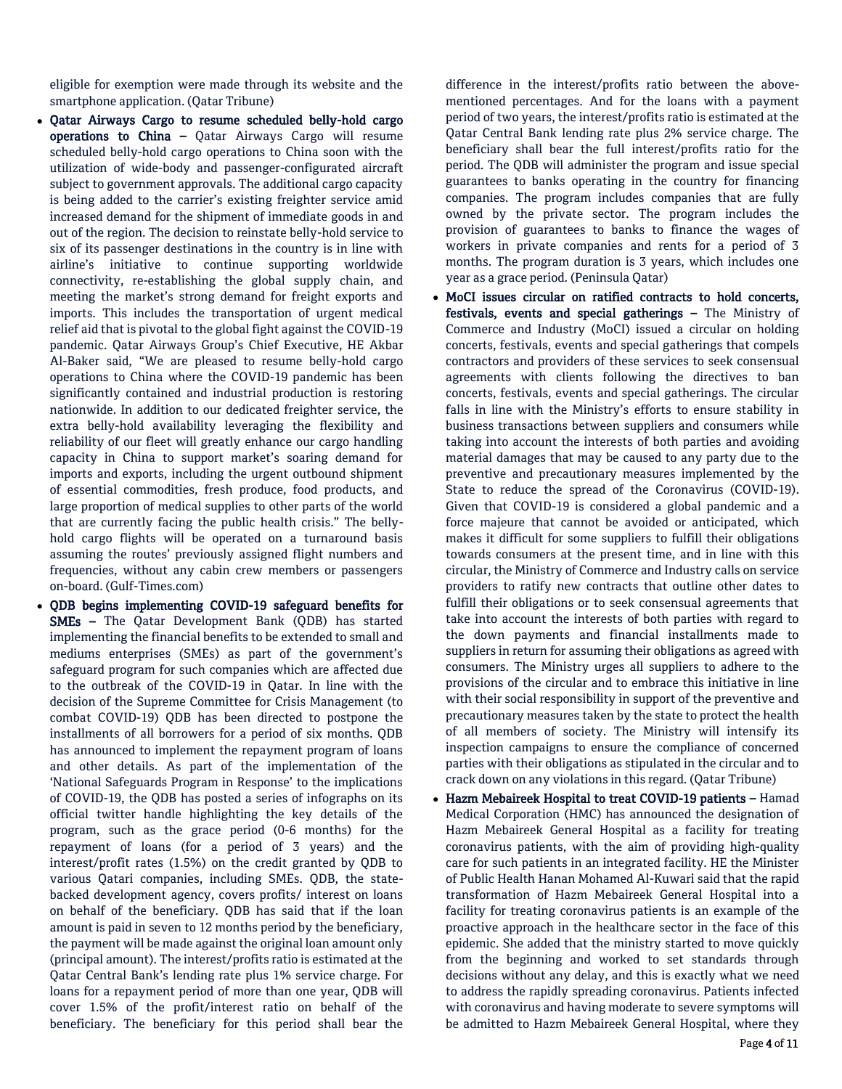eligible for exemption were made through its website and the smartphone application. (Qatar Tribune)

- Oatar Airways Cargo to resume scheduled belly-hold cargo operations to China – Qatar Airways Cargo will resume scheduled belly-hold cargo operations to China soon with the utilization of wide-body and passenger-configurated aircraft subject to government approvals. The additional cargo capacity is being added to the carrier's existing freighter service amid increased demand for the shipment of immediate goods in and out of the region. The decision to reinstate belly-hold service to six of its passenger destinations in the country is in line with airline's initiative to continue supporting worldwide connectivity, re-establishing the global supply chain, and meeting the market's strong demand for freight exports and imports. This includes the transportation of urgent medical relief aid that is pivotal to the global fight against the COVID-19 pandemic. Qatar Airways Group's Chief Executive, HE Akbar Al-Baker said, "We are pleased to resume belly-hold cargo operations to China where the COVID-19 pandemic has been significantly contained and industrial production is restoring nationwide. In addition to our dedicated freighter service, the extra belly-hold availability leveraging the flexibility and reliability of our fleet will greatly enhance our cargo handling capacity in China to support market's soaring demand for imports and exports, including the urgent outbound shipment of essential commodities, fresh produce, food products, and large proportion of medical supplies to other parts of the world that are currently facing the public health crisis." The bellyhold cargo flights will be operated on a turnaround basis assuming the routes' previously assigned flight numbers and frequencies, without any cabin crew members or passengers on-board. (Gulf-Times.com)
- QDB begins implementing COVID-19 safeguard benefits for SMEs – The Qatar Development Bank (QDB) has started implementing the financial benefits to be extended to small and mediums enterprises (SMEs) as part of the government's safeguard program for such companies which are affected due to the outbreak of the COVID-19 in Qatar. In line with the decision of the Supreme Committee for Crisis Management (to combat COVID-19) QDB has been directed to postpone the installments of all borrowers for a period of six months. QDB has announced to implement the repayment program of loans and other details. As part of the implementation of the 'National Safeguards Program in Response' to the implications of COVID-19, the QDB has posted a series of infographs on its official twitter handle highlighting the key details of the program, such as the grace period (0-6 months) for the repayment of loans (for a period of 3 years) and the interest/profit rates (1.5%) on the credit granted by QDB to various Qatari companies, including SMEs. QDB, the statebacked development agency, covers profits/ interest on loans on behalf of the beneficiary. QDB has said that if the loan amount is paid in seven to 12 months period by the beneficiary, the payment will be made against the original loan amount only (principal amount). The interest/profits ratio is estimated at the Qatar Central Bank's lending rate plus 1% service charge. For loans for a repayment period of more than one year, QDB will cover 1.5% of the profit/interest ratio on behalf of the beneficiary. The beneficiary for this period shall bear the

difference in the interest/profits ratio between the abovementioned percentages. And for the loans with a payment period of two years, the interest/profits ratio is estimated at the Qatar Central Bank lending rate plus 2% service charge. The beneficiary shall bear the full interest/profits ratio for the period. The QDB will administer the program and issue special guarantees to banks operating in the country for financing companies. The program includes companies that are fully owned by the private sector. The program includes the provision of guarantees to banks to finance the wages of workers in private companies and rents for a period of 3 months. The program duration is 3 years, which includes one year as a grace period. (Peninsula Qatar)

- MoCI issues circular on ratified contracts to hold concerts, festivals, events and special gatherings – The Ministry of Commerce and Industry (MoCI) issued a circular on holding concerts, festivals, events and special gatherings that compels contractors and providers of these services to seek consensual agreements with clients following the directives to ban concerts, festivals, events and special gatherings. The circular falls in line with the Ministry's efforts to ensure stability in business transactions between suppliers and consumers while taking into account the interests of both parties and avoiding material damages that may be caused to any party due to the preventive and precautionary measures implemented by the State to reduce the spread of the Coronavirus (COVID-19). Given that COVID-19 is considered a global pandemic and a force majeure that cannot be avoided or anticipated, which makes it difficult for some suppliers to fulfill their obligations towards consumers at the present time, and in line with this circular, the Ministry of Commerce and Industry calls on service providers to ratify new contracts that outline other dates to fulfill their obligations or to seek consensual agreements that take into account the interests of both parties with regard to the down payments and financial installments made to suppliers in return for assuming their obligations as agreed with consumers. The Ministry urges all suppliers to adhere to the provisions of the circular and to embrace this initiative in line with their social responsibility in support of the preventive and precautionary measures taken by the state to protect the health of all members of society. The Ministry will intensify its inspection campaigns to ensure the compliance of concerned parties with their obligations as stipulated in the circular and to crack down on any violations in this regard. (Qatar Tribune)
- Hazm Mebaireek Hospital to treat COVID-19 patients Hamad Medical Corporation (HMC) has announced the designation of Hazm Mebaireek General Hospital as a facility for treating coronavirus patients, with the aim of providing high-quality care for such patients in an integrated facility. HE the Minister of Public Health Hanan Mohamed Al-Kuwari said that the rapid transformation of Hazm Mebaireek General Hospital into a facility for treating coronavirus patients is an example of the proactive approach in the healthcare sector in the face of this epidemic. She added that the ministry started to move quickly from the beginning and worked to set standards through decisions without any delay, and this is exactly what we need to address the rapidly spreading coronavirus. Patients infected with coronavirus and having moderate to severe symptoms will be admitted to Hazm Mebaireek General Hospital, where they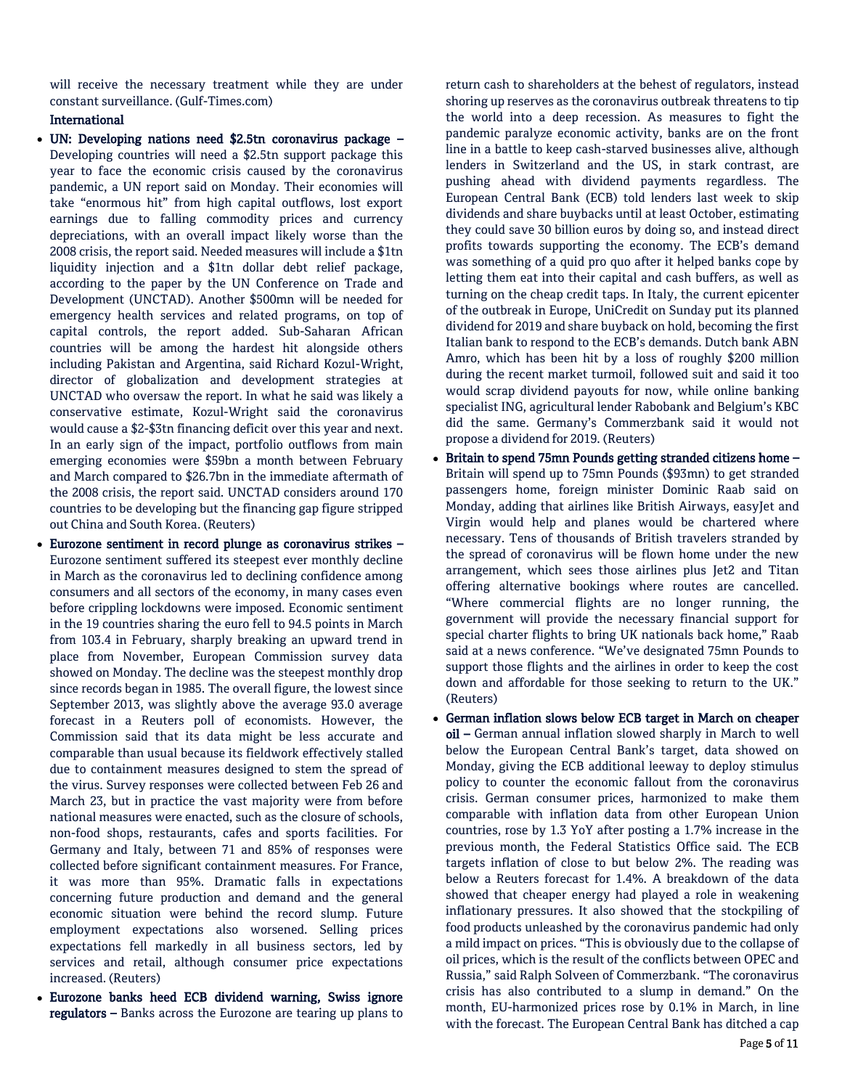will receive the necessary treatment while they are under constant surveillance. (Gulf-Times.com)

# International

- UN: Developing nations need \$2.5tn coronavirus package Developing countries will need a \$2.5tn support package this year to face the economic crisis caused by the coronavirus pandemic, a UN report said on Monday. Their economies will take "enormous hit" from high capital outflows, lost export earnings due to falling commodity prices and currency depreciations, with an overall impact likely worse than the 2008 crisis, the report said. Needed measures will include a \$1tn liquidity injection and a \$1tn dollar debt relief package, according to the paper by the UN Conference on Trade and Development (UNCTAD). Another \$500mn will be needed for emergency health services and related programs, on top of capital controls, the report added. Sub-Saharan African countries will be among the hardest hit alongside others including Pakistan and Argentina, said Richard Kozul-Wright, director of globalization and development strategies at UNCTAD who oversaw the report. In what he said was likely a conservative estimate, Kozul-Wright said the coronavirus would cause a \$2-\$3tn financing deficit over this year and next. In an early sign of the impact, portfolio outflows from main emerging economies were \$59bn a month between February and March compared to \$26.7bn in the immediate aftermath of the 2008 crisis, the report said. UNCTAD considers around 170 countries to be developing but the financing gap figure stripped out China and South Korea. (Reuters)
- Eurozone sentiment in record plunge as coronavirus strikes Eurozone sentiment suffered its steepest ever monthly decline in March as the coronavirus led to declining confidence among consumers and all sectors of the economy, in many cases even before crippling lockdowns were imposed. Economic sentiment in the 19 countries sharing the euro fell to 94.5 points in March from 103.4 in February, sharply breaking an upward trend in place from November, European Commission survey data showed on Monday. The decline was the steepest monthly drop since records began in 1985. The overall figure, the lowest since September 2013, was slightly above the average 93.0 average forecast in a Reuters poll of economists. However, the Commission said that its data might be less accurate and comparable than usual because its fieldwork effectively stalled due to containment measures designed to stem the spread of the virus. Survey responses were collected between Feb 26 and March 23, but in practice the vast majority were from before national measures were enacted, such as the closure of schools, non-food shops, restaurants, cafes and sports facilities. For Germany and Italy, between 71 and 85% of responses were collected before significant containment measures. For France, it was more than 95%. Dramatic falls in expectations concerning future production and demand and the general economic situation were behind the record slump. Future employment expectations also worsened. Selling prices expectations fell markedly in all business sectors, led by services and retail, although consumer price expectations increased. (Reuters)
- Eurozone banks heed ECB dividend warning, Swiss ignore regulators – Banks across the Eurozone are tearing up plans to

return cash to shareholders at the behest of regulators, instead shoring up reserves as the coronavirus outbreak threatens to tip the world into a deep recession. As measures to fight the pandemic paralyze economic activity, banks are on the front line in a battle to keep cash-starved businesses alive, although lenders in Switzerland and the US, in stark contrast, are pushing ahead with dividend payments regardless. The European Central Bank (ECB) told lenders last week to skip dividends and share buybacks until at least October, estimating they could save 30 billion euros by doing so, and instead direct profits towards supporting the economy. The ECB's demand was something of a quid pro quo after it helped banks cope by letting them eat into their capital and cash buffers, as well as turning on the cheap credit taps. In Italy, the current epicenter of the outbreak in Europe, UniCredit on Sunday put its planned dividend for 2019 and share buyback on hold, becoming the first Italian bank to respond to the ECB's demands. Dutch bank ABN Amro, which has been hit by a loss of roughly \$200 million during the recent market turmoil, followed suit and said it too would scrap dividend payouts for now, while online banking specialist ING, agricultural lender Rabobank and Belgium's KBC did the same. Germany's Commerzbank said it would not propose a dividend for 2019. (Reuters)

- Britain to spend 75mn Pounds getting stranded citizens home Britain will spend up to 75mn Pounds (\$93mn) to get stranded passengers home, foreign minister Dominic Raab said on Monday, adding that airlines like British Airways, easyJet and Virgin would help and planes would be chartered where necessary. Tens of thousands of British travelers stranded by the spread of coronavirus will be flown home under the new arrangement, which sees those airlines plus Jet2 and Titan offering alternative bookings where routes are cancelled. "Where commercial flights are no longer running, the government will provide the necessary financial support for special charter flights to bring UK nationals back home," Raab said at a news conference. "We've designated 75mn Pounds to support those flights and the airlines in order to keep the cost down and affordable for those seeking to return to the UK." (Reuters)
- German inflation slows below ECB target in March on cheaper oil – German annual inflation slowed sharply in March to well below the European Central Bank's target, data showed on Monday, giving the ECB additional leeway to deploy stimulus policy to counter the economic fallout from the coronavirus crisis. German consumer prices, harmonized to make them comparable with inflation data from other European Union countries, rose by 1.3 YoY after posting a 1.7% increase in the previous month, the Federal Statistics Office said. The ECB targets inflation of close to but below 2%. The reading was below a Reuters forecast for 1.4%. A breakdown of the data showed that cheaper energy had played a role in weakening inflationary pressures. It also showed that the stockpiling of food products unleashed by the coronavirus pandemic had only a mild impact on prices. "This is obviously due to the collapse of oil prices, which is the result of the conflicts between OPEC and Russia," said Ralph Solveen of Commerzbank. "The coronavirus crisis has also contributed to a slump in demand." On the month, EU-harmonized prices rose by 0.1% in March, in line with the forecast. The European Central Bank has ditched a cap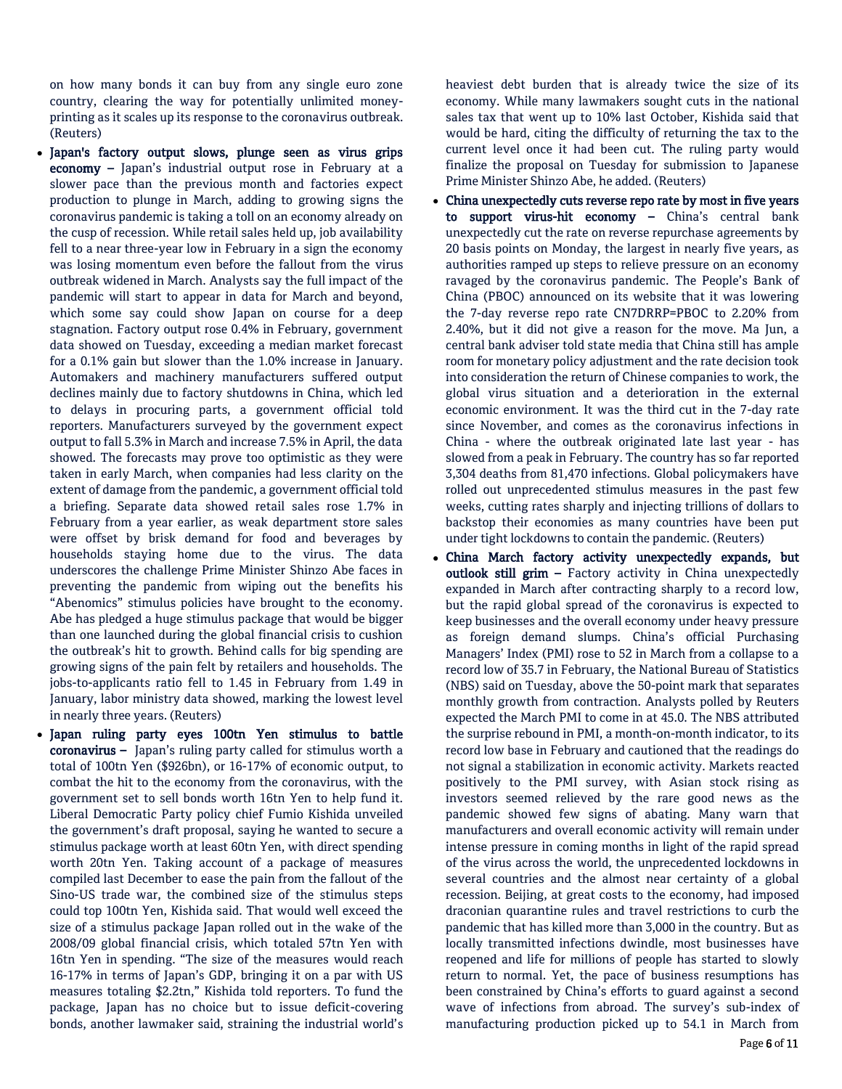on how many bonds it can buy from any single euro zone country, clearing the way for potentially unlimited moneyprinting as it scales up its response to the coronavirus outbreak. (Reuters)

- Japan's factory output slows, plunge seen as virus grips economy – Japan's industrial output rose in February at a slower pace than the previous month and factories expect production to plunge in March, adding to growing signs the coronavirus pandemic is taking a toll on an economy already on the cusp of recession. While retail sales held up, job availability fell to a near three-year low in February in a sign the economy was losing momentum even before the fallout from the virus outbreak widened in March. Analysts say the full impact of the pandemic will start to appear in data for March and beyond, which some say could show Japan on course for a deep stagnation. Factory output rose 0.4% in February, government data showed on Tuesday, exceeding a median market forecast for a 0.1% gain but slower than the 1.0% increase in January. Automakers and machinery manufacturers suffered output declines mainly due to factory shutdowns in China, which led to delays in procuring parts, a government official told reporters. Manufacturers surveyed by the government expect output to fall 5.3% in March and increase 7.5% in April, the data showed. The forecasts may prove too optimistic as they were taken in early March, when companies had less clarity on the extent of damage from the pandemic, a government official told a briefing. Separate data showed retail sales rose 1.7% in February from a year earlier, as weak department store sales were offset by brisk demand for food and beverages by households staying home due to the virus. The data underscores the challenge Prime Minister Shinzo Abe faces in preventing the pandemic from wiping out the benefits his "Abenomics" stimulus policies have brought to the economy. Abe has pledged a huge stimulus package that would be bigger than one launched during the global financial crisis to cushion the outbreak's hit to growth. Behind calls for big spending are growing signs of the pain felt by retailers and households. The jobs-to-applicants ratio fell to 1.45 in February from 1.49 in January, labor ministry data showed, marking the lowest level in nearly three years. (Reuters)
- Japan ruling party eyes 100tn Yen stimulus to battle coronavirus – Japan's ruling party called for stimulus worth a total of 100tn Yen (\$926bn), or 16-17% of economic output, to combat the hit to the economy from the coronavirus, with the government set to sell bonds worth 16tn Yen to help fund it. Liberal Democratic Party policy chief Fumio Kishida unveiled the government's draft proposal, saying he wanted to secure a stimulus package worth at least 60tn Yen, with direct spending worth 20tn Yen. Taking account of a package of measures compiled last December to ease the pain from the fallout of the Sino-US trade war, the combined size of the stimulus steps could top 100tn Yen, Kishida said. That would well exceed the size of a stimulus package Japan rolled out in the wake of the 2008/09 global financial crisis, which totaled 57tn Yen with 16tn Yen in spending. "The size of the measures would reach 16-17% in terms of Japan's GDP, bringing it on a par with US measures totaling \$2.2tn," Kishida told reporters. To fund the package, Japan has no choice but to issue deficit-covering bonds, another lawmaker said, straining the industrial world's

heaviest debt burden that is already twice the size of its economy. While many lawmakers sought cuts in the national sales tax that went up to 10% last October, Kishida said that would be hard, citing the difficulty of returning the tax to the current level once it had been cut. The ruling party would finalize the proposal on Tuesday for submission to Japanese Prime Minister Shinzo Abe, he added. (Reuters)

- China unexpectedly cuts reverse repo rate by most in five years to support virus-hit economy – China's central bank unexpectedly cut the rate on reverse repurchase agreements by 20 basis points on Monday, the largest in nearly five years, as authorities ramped up steps to relieve pressure on an economy ravaged by the coronavirus pandemic. The People's Bank of China (PBOC) announced on its website that it was lowering the 7-day reverse repo rate CN7DRRP=PBOC to 2.20% from 2.40%, but it did not give a reason for the move. Ma Jun, a central bank adviser told state media that China still has ample room for monetary policy adjustment and the rate decision took into consideration the return of Chinese companies to work, the global virus situation and a deterioration in the external economic environment. It was the third cut in the 7-day rate since November, and comes as the coronavirus infections in China - where the outbreak originated late last year - has slowed from a peak in February. The country has so far reported 3,304 deaths from 81,470 infections. Global policymakers have rolled out unprecedented stimulus measures in the past few weeks, cutting rates sharply and injecting trillions of dollars to backstop their economies as many countries have been put under tight lockdowns to contain the pandemic. (Reuters)
- China March factory activity unexpectedly expands, but outlook still grim - Factory activity in China unexpectedly expanded in March after contracting sharply to a record low, but the rapid global spread of the coronavirus is expected to keep businesses and the overall economy under heavy pressure as foreign demand slumps. China's official Purchasing Managers' Index (PMI) rose to 52 in March from a collapse to a record low of 35.7 in February, the National Bureau of Statistics (NBS) said on Tuesday, above the 50-point mark that separates monthly growth from contraction. Analysts polled by Reuters expected the March PMI to come in at 45.0. The NBS attributed the surprise rebound in PMI, a month-on-month indicator, to its record low base in February and cautioned that the readings do not signal a stabilization in economic activity. Markets reacted positively to the PMI survey, with Asian stock rising as investors seemed relieved by the rare good news as the pandemic showed few signs of abating. Many warn that manufacturers and overall economic activity will remain under intense pressure in coming months in light of the rapid spread of the virus across the world, the unprecedented lockdowns in several countries and the almost near certainty of a global recession. Beijing, at great costs to the economy, had imposed draconian quarantine rules and travel restrictions to curb the pandemic that has killed more than 3,000 in the country. But as locally transmitted infections dwindle, most businesses have reopened and life for millions of people has started to slowly return to normal. Yet, the pace of business resumptions has been constrained by China's efforts to guard against a second wave of infections from abroad. The survey's sub-index of manufacturing production picked up to 54.1 in March from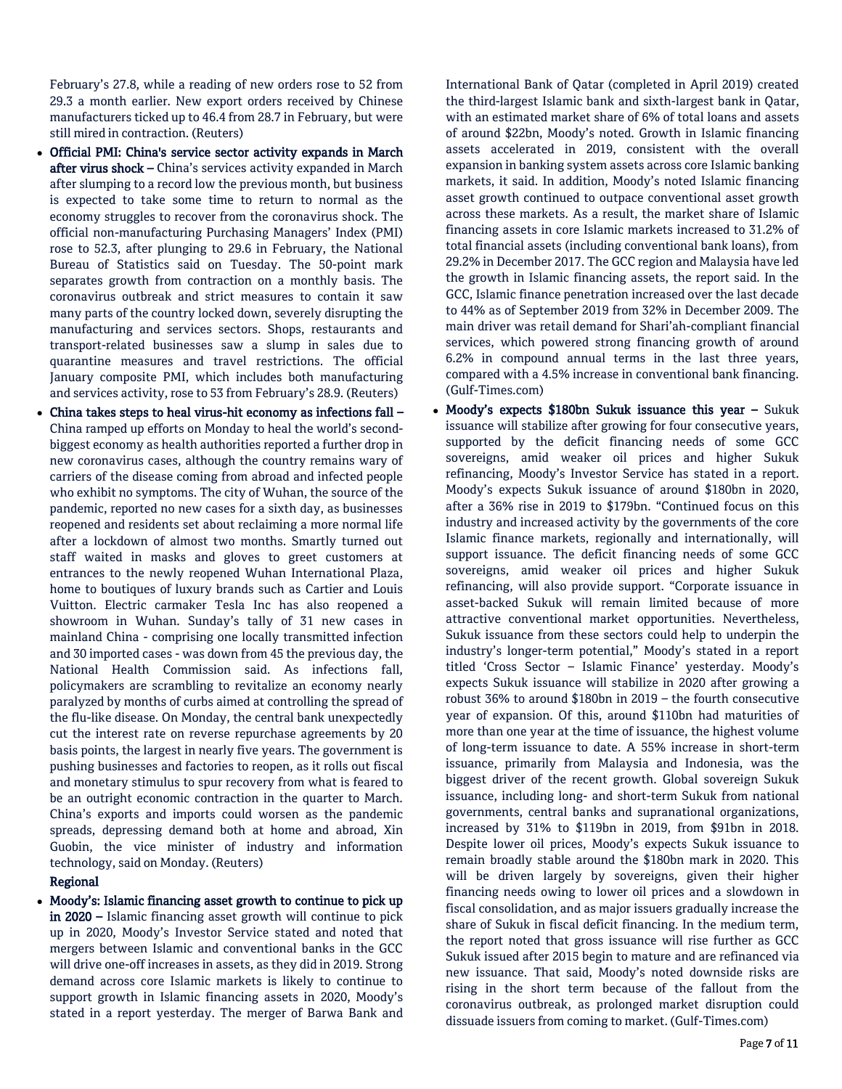February's 27.8, while a reading of new orders rose to 52 from 29.3 a month earlier. New export orders received by Chinese manufacturers ticked up to 46.4 from 28.7 in February, but were still mired in contraction. (Reuters)

- Official PMI: China's service sector activity expands in March after virus shock – China's services activity expanded in March after slumping to a record low the previous month, but business is expected to take some time to return to normal as the economy struggles to recover from the coronavirus shock. The official non-manufacturing Purchasing Managers' Index (PMI) rose to 52.3, after plunging to 29.6 in February, the National Bureau of Statistics said on Tuesday. The 50-point mark separates growth from contraction on a monthly basis. The coronavirus outbreak and strict measures to contain it saw many parts of the country locked down, severely disrupting the manufacturing and services sectors. Shops, restaurants and transport-related businesses saw a slump in sales due to quarantine measures and travel restrictions. The official January composite PMI, which includes both manufacturing and services activity, rose to 53 from February's 28.9. (Reuters)
- China takes steps to heal virus-hit economy as infections fall China ramped up efforts on Monday to heal the world's secondbiggest economy as health authorities reported a further drop in new coronavirus cases, although the country remains wary of carriers of the disease coming from abroad and infected people who exhibit no symptoms. The city of Wuhan, the source of the pandemic, reported no new cases for a sixth day, as businesses reopened and residents set about reclaiming a more normal life after a lockdown of almost two months. Smartly turned out staff waited in masks and gloves to greet customers at entrances to the newly reopened Wuhan International Plaza, home to boutiques of luxury brands such as Cartier and Louis Vuitton. Electric carmaker Tesla Inc has also reopened a showroom in Wuhan. Sunday's tally of 31 new cases in mainland China - comprising one locally transmitted infection and 30 imported cases - was down from 45 the previous day, the National Health Commission said. As infections fall, policymakers are scrambling to revitalize an economy nearly paralyzed by months of curbs aimed at controlling the spread of the flu-like disease. On Monday, the central bank unexpectedly cut the interest rate on reverse repurchase agreements by 20 basis points, the largest in nearly five years. The government is pushing businesses and factories to reopen, as it rolls out fiscal and monetary stimulus to spur recovery from what is feared to be an outright economic contraction in the quarter to March. China's exports and imports could worsen as the pandemic spreads, depressing demand both at home and abroad, Xin Guobin, the vice minister of industry and information technology, said on Monday. (Reuters)

## Regional

 Moody's: Islamic financing asset growth to continue to pick up in 2020 – Islamic financing asset growth will continue to pick up in 2020, Moody's Investor Service stated and noted that mergers between Islamic and conventional banks in the GCC will drive one-off increases in assets, as they did in 2019. Strong demand across core Islamic markets is likely to continue to support growth in Islamic financing assets in 2020, Moody's stated in a report yesterday. The merger of Barwa Bank and

International Bank of Qatar (completed in April 2019) created the third-largest Islamic bank and sixth-largest bank in Qatar, with an estimated market share of 6% of total loans and assets of around \$22bn, Moody's noted. Growth in Islamic financing assets accelerated in 2019, consistent with the overall expansion in banking system assets across core Islamic banking markets, it said. In addition, Moody's noted Islamic financing asset growth continued to outpace conventional asset growth across these markets. As a result, the market share of Islamic financing assets in core Islamic markets increased to 31.2% of total financial assets (including conventional bank loans), from 29.2% in December 2017. The GCC region and Malaysia have led the growth in Islamic financing assets, the report said. In the GCC, Islamic finance penetration increased over the last decade to 44% as of September 2019 from 32% in December 2009. The main driver was retail demand for Shari'ah-compliant financial services, which powered strong financing growth of around 6.2% in compound annual terms in the last three years, compared with a 4.5% increase in conventional bank financing. (Gulf-Times.com)

• Moody's expects \$180bn Sukuk issuance this year - Sukuk issuance will stabilize after growing for four consecutive years, supported by the deficit financing needs of some GCC sovereigns, amid weaker oil prices and higher Sukuk refinancing, Moody's Investor Service has stated in a report. Moody's expects Sukuk issuance of around \$180bn in 2020, after a 36% rise in 2019 to \$179bn. "Continued focus on this industry and increased activity by the governments of the core Islamic finance markets, regionally and internationally, will support issuance. The deficit financing needs of some GCC sovereigns, amid weaker oil prices and higher Sukuk refinancing, will also provide support. "Corporate issuance in asset-backed Sukuk will remain limited because of more attractive conventional market opportunities. Nevertheless, Sukuk issuance from these sectors could help to underpin the industry's longer-term potential," Moody's stated in a report titled 'Cross Sector – Islamic Finance' yesterday. Moody's expects Sukuk issuance will stabilize in 2020 after growing a robust 36% to around \$180bn in 2019 – the fourth consecutive year of expansion. Of this, around \$110bn had maturities of more than one year at the time of issuance, the highest volume of long-term issuance to date. A 55% increase in short-term issuance, primarily from Malaysia and Indonesia, was the biggest driver of the recent growth. Global sovereign Sukuk issuance, including long- and short-term Sukuk from national governments, central banks and supranational organizations, increased by 31% to \$119bn in 2019, from \$91bn in 2018. Despite lower oil prices, Moody's expects Sukuk issuance to remain broadly stable around the \$180bn mark in 2020. This will be driven largely by sovereigns, given their higher financing needs owing to lower oil prices and a slowdown in fiscal consolidation, and as major issuers gradually increase the share of Sukuk in fiscal deficit financing. In the medium term, the report noted that gross issuance will rise further as GCC Sukuk issued after 2015 begin to mature and are refinanced via new issuance. That said, Moody's noted downside risks are rising in the short term because of the fallout from the coronavirus outbreak, as prolonged market disruption could dissuade issuers from coming to market. (Gulf-Times.com)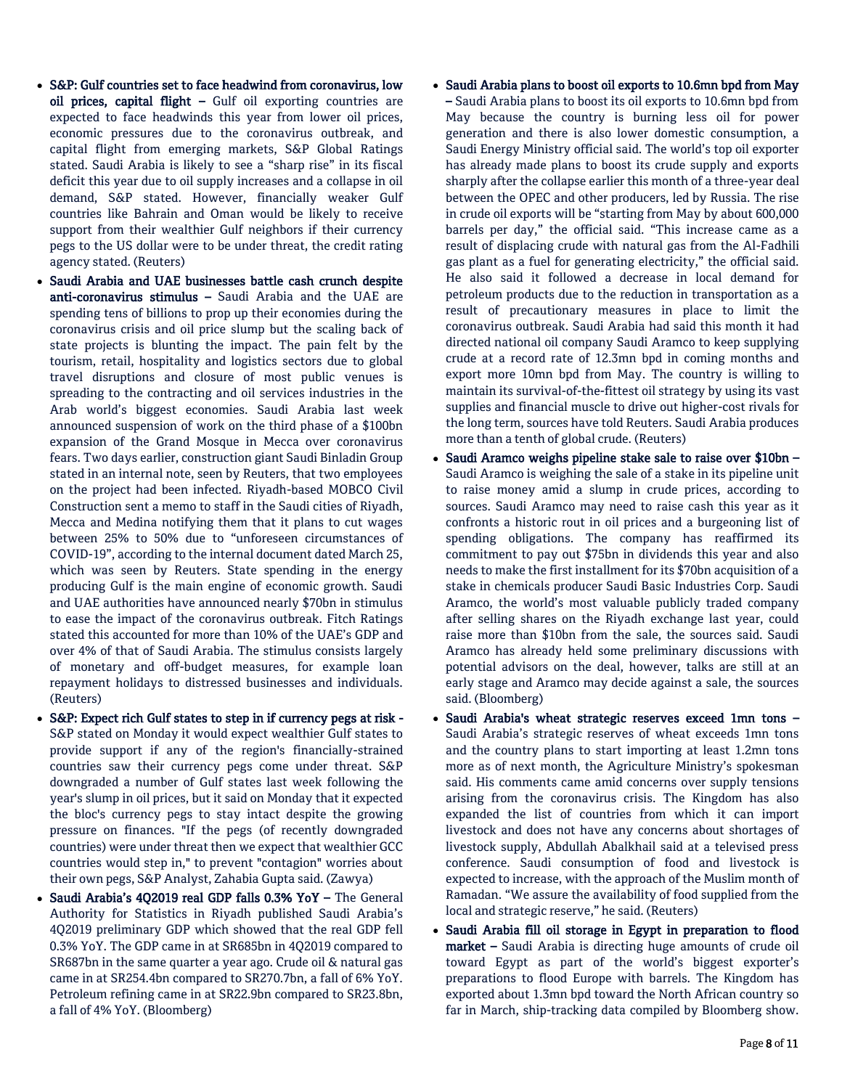- S&P: Gulf countries set to face headwind from coronavirus, low oil prices, capital flight – Gulf oil exporting countries are expected to face headwinds this year from lower oil prices, economic pressures due to the coronavirus outbreak, and capital flight from emerging markets, S&P Global Ratings stated. Saudi Arabia is likely to see a "sharp rise" in its fiscal deficit this year due to oil supply increases and a collapse in oil demand, S&P stated. However, financially weaker Gulf countries like Bahrain and Oman would be likely to receive support from their wealthier Gulf neighbors if their currency pegs to the US dollar were to be under threat, the credit rating agency stated. (Reuters)
- Saudi Arabia and UAE businesses battle cash crunch despite anti-coronavirus stimulus – Saudi Arabia and the UAE are spending tens of billions to prop up their economies during the coronavirus crisis and oil price slump but the scaling back of state projects is blunting the impact. The pain felt by the tourism, retail, hospitality and logistics sectors due to global travel disruptions and closure of most public venues is spreading to the contracting and oil services industries in the Arab world's biggest economies. Saudi Arabia last week announced suspension of work on the third phase of a \$100bn expansion of the Grand Mosque in Mecca over coronavirus fears. Two days earlier, construction giant Saudi Binladin Group stated in an internal note, seen by Reuters, that two employees on the project had been infected. Riyadh-based MOBCO Civil Construction sent a memo to staff in the Saudi cities of Riyadh, Mecca and Medina notifying them that it plans to cut wages between 25% to 50% due to "unforeseen circumstances of COVID-19", according to the internal document dated March 25, which was seen by Reuters. State spending in the energy producing Gulf is the main engine of economic growth. Saudi and UAE authorities have announced nearly \$70bn in stimulus to ease the impact of the coronavirus outbreak. Fitch Ratings stated this accounted for more than 10% of the UAE's GDP and over 4% of that of Saudi Arabia. The stimulus consists largely of monetary and off-budget measures, for example loan repayment holidays to distressed businesses and individuals. (Reuters)
- S&P: Expect rich Gulf states to step in if currency pegs at risk S&P stated on Monday it would expect wealthier Gulf states to provide support if any of the region's financially-strained countries saw their currency pegs come under threat. S&P downgraded a number of Gulf states last week following the year's slump in oil prices, but it said on Monday that it expected the bloc's currency pegs to stay intact despite the growing pressure on finances. "If the pegs (of recently downgraded countries) were under threat then we expect that wealthier GCC countries would step in," to prevent "contagion" worries about their own pegs, S&P Analyst, Zahabia Gupta said. (Zawya)
- Saudi Arabia's 4Q2019 real GDP falls 0.3% YoY The General Authority for Statistics in Riyadh published Saudi Arabia's 4Q2019 preliminary GDP which showed that the real GDP fell 0.3% YoY. The GDP came in at SR685bn in 4Q2019 compared to SR687bn in the same quarter a year ago. Crude oil & natural gas came in at SR254.4bn compared to SR270.7bn, a fall of 6% YoY. Petroleum refining came in at SR22.9bn compared to SR23.8bn, a fall of 4% YoY. (Bloomberg)

# Saudi Arabia plans to boost oil exports to 10.6mn bpd from May – Saudi Arabia plans to boost its oil exports to 10.6mn bpd from May because the country is burning less oil for power generation and there is also lower domestic consumption, a Saudi Energy Ministry official said. The world's top oil exporter has already made plans to boost its crude supply and exports sharply after the collapse earlier this month of a three-year deal between the OPEC and other producers, led by Russia. The rise in crude oil exports will be "starting from May by about 600,000 barrels per day," the official said. "This increase came as a result of displacing crude with natural gas from the Al-Fadhili gas plant as a fuel for generating electricity," the official said. He also said it followed a decrease in local demand for petroleum products due to the reduction in transportation as a result of precautionary measures in place to limit the coronavirus outbreak. Saudi Arabia had said this month it had directed national oil company Saudi Aramco to keep supplying crude at a record rate of 12.3mn bpd in coming months and export more 10mn bpd from May. The country is willing to maintain its survival-of-the-fittest oil strategy by using its vast supplies and financial muscle to drive out higher-cost rivals for the long term, sources have told Reuters. Saudi Arabia produces more than a tenth of global crude. (Reuters)

- Saudi Aramco weighs pipeline stake sale to raise over \$10bn Saudi Aramco is weighing the sale of a stake in its pipeline unit to raise money amid a slump in crude prices, according to sources. Saudi Aramco may need to raise cash this year as it confronts a historic rout in oil prices and a burgeoning list of spending obligations. The company has reaffirmed its commitment to pay out \$75bn in dividends this year and also needs to make the first installment for its \$70bn acquisition of a stake in chemicals producer Saudi Basic Industries Corp. Saudi Aramco, the world's most valuable publicly traded company after selling shares on the Riyadh exchange last year, could raise more than \$10bn from the sale, the sources said. Saudi Aramco has already held some preliminary discussions with potential advisors on the deal, however, talks are still at an early stage and Aramco may decide against a sale, the sources said. (Bloomberg)
- Saudi Arabia's wheat strategic reserves exceed 1mn tons Saudi Arabia's strategic reserves of wheat exceeds 1mn tons and the country plans to start importing at least 1.2mn tons more as of next month, the Agriculture Ministry's spokesman said. His comments came amid concerns over supply tensions arising from the coronavirus crisis. The Kingdom has also expanded the list of countries from which it can import livestock and does not have any concerns about shortages of livestock supply, Abdullah Abalkhail said at a televised press conference. Saudi consumption of food and livestock is expected to increase, with the approach of the Muslim month of Ramadan. "We assure the availability of food supplied from the local and strategic reserve," he said. (Reuters)
- Saudi Arabia fill oil storage in Egypt in preparation to flood market – Saudi Arabia is directing huge amounts of crude oil toward Egypt as part of the world's biggest exporter's preparations to flood Europe with barrels. The Kingdom has exported about 1.3mn bpd toward the North African country so far in March, ship-tracking data compiled by Bloomberg show.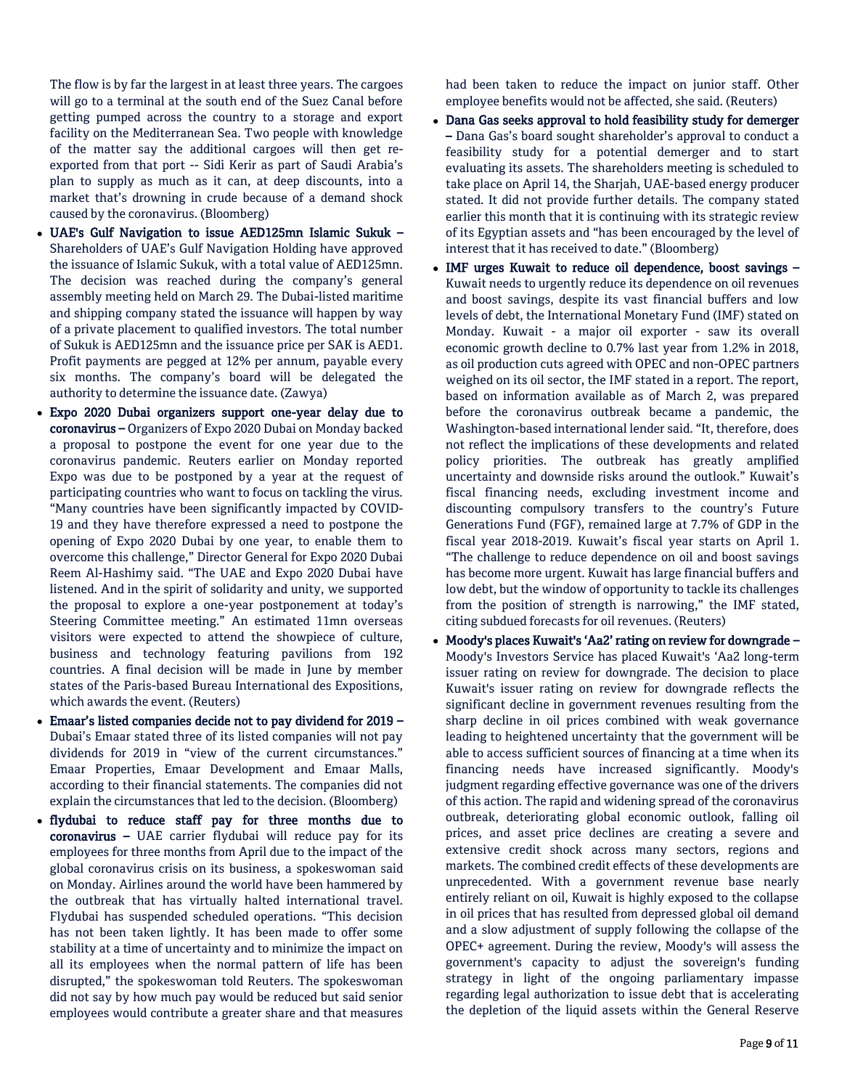The flow is by far the largest in at least three years. The cargoes will go to a terminal at the south end of the Suez Canal before getting pumped across the country to a storage and export facility on the Mediterranean Sea. Two people with knowledge of the matter say the additional cargoes will then get reexported from that port -- Sidi Kerir as part of Saudi Arabia's plan to supply as much as it can, at deep discounts, into a market that's drowning in crude because of a demand shock caused by the coronavirus. (Bloomberg)

- UAE's Gulf Navigation to issue AED125mn Islamic Sukuk Shareholders of UAE's Gulf Navigation Holding have approved the issuance of Islamic Sukuk, with a total value of AED125mn. The decision was reached during the company's general assembly meeting held on March 29. The Dubai-listed maritime and shipping company stated the issuance will happen by way of a private placement to qualified investors. The total number of Sukuk is AED125mn and the issuance price per SAK is AED1. Profit payments are pegged at 12% per annum, payable every six months. The company's board will be delegated the authority to determine the issuance date. (Zawya)
- Expo 2020 Dubai organizers support one-year delay due to coronavirus – Organizers of Expo 2020 Dubai on Monday backed a proposal to postpone the event for one year due to the coronavirus pandemic. Reuters earlier on Monday reported Expo was due to be postponed by a year at the request of participating countries who want to focus on tackling the virus. "Many countries have been significantly impacted by COVID-19 and they have therefore expressed a need to postpone the opening of Expo 2020 Dubai by one year, to enable them to overcome this challenge," Director General for Expo 2020 Dubai Reem Al-Hashimy said. "The UAE and Expo 2020 Dubai have listened. And in the spirit of solidarity and unity, we supported the proposal to explore a one-year postponement at today's Steering Committee meeting." An estimated 11mn overseas visitors were expected to attend the showpiece of culture, business and technology featuring pavilions from 192 countries. A final decision will be made in June by member states of the Paris-based Bureau International des Expositions, which awards the event. (Reuters)
- Emaar's listed companies decide not to pay dividend for 2019 Dubai's Emaar stated three of its listed companies will not pay dividends for 2019 in "view of the current circumstances." Emaar Properties, Emaar Development and Emaar Malls, according to their financial statements. The companies did not explain the circumstances that led to the decision. (Bloomberg)
- flydubai to reduce staff pay for three months due to coronavirus – UAE carrier flydubai will reduce pay for its employees for three months from April due to the impact of the global coronavirus crisis on its business, a spokeswoman said on Monday. Airlines around the world have been hammered by the outbreak that has virtually halted international travel. Flydubai has suspended scheduled operations. "This decision has not been taken lightly. It has been made to offer some stability at a time of uncertainty and to minimize the impact on all its employees when the normal pattern of life has been disrupted," the spokeswoman told Reuters. The spokeswoman did not say by how much pay would be reduced but said senior employees would contribute a greater share and that measures

had been taken to reduce the impact on junior staff. Other employee benefits would not be affected, she said. (Reuters)

- Dana Gas seeks approval to hold feasibility study for demerger – Dana Gas's board sought shareholder's approval to conduct a feasibility study for a potential demerger and to start evaluating its assets. The shareholders meeting is scheduled to take place on April 14, the Sharjah, UAE-based energy producer stated. It did not provide further details. The company stated earlier this month that it is continuing with its strategic review of its Egyptian assets and "has been encouraged by the level of interest that it has received to date." (Bloomberg)
- IMF urges Kuwait to reduce oil dependence, boost savings Kuwait needs to urgently reduce its dependence on oil revenues and boost savings, despite its vast financial buffers and low levels of debt, the International Monetary Fund (IMF) stated on Monday. Kuwait - a major oil exporter - saw its overall economic growth decline to 0.7% last year from 1.2% in 2018, as oil production cuts agreed with OPEC and non-OPEC partners weighed on its oil sector, the IMF stated in a report. The report, based on information available as of March 2, was prepared before the coronavirus outbreak became a pandemic, the Washington-based international lender said. "It, therefore, does not reflect the implications of these developments and related policy priorities. The outbreak has greatly amplified uncertainty and downside risks around the outlook." Kuwait's fiscal financing needs, excluding investment income and discounting compulsory transfers to the country's Future Generations Fund (FGF), remained large at 7.7% of GDP in the fiscal year 2018-2019. Kuwait's fiscal year starts on April 1. "The challenge to reduce dependence on oil and boost savings has become more urgent. Kuwait has large financial buffers and low debt, but the window of opportunity to tackle its challenges from the position of strength is narrowing," the IMF stated, citing subdued forecasts for oil revenues. (Reuters)
- Moody's places Kuwait's 'Aa2' rating on review for downgrade -Moody's Investors Service has placed Kuwait's 'Aa2 long-term issuer rating on review for downgrade. The decision to place Kuwait's issuer rating on review for downgrade reflects the significant decline in government revenues resulting from the sharp decline in oil prices combined with weak governance leading to heightened uncertainty that the government will be able to access sufficient sources of financing at a time when its financing needs have increased significantly. Moody's judgment regarding effective governance was one of the drivers of this action. The rapid and widening spread of the coronavirus outbreak, deteriorating global economic outlook, falling oil prices, and asset price declines are creating a severe and extensive credit shock across many sectors, regions and markets. The combined credit effects of these developments are unprecedented. With a government revenue base nearly entirely reliant on oil, Kuwait is highly exposed to the collapse in oil prices that has resulted from depressed global oil demand and a slow adjustment of supply following the collapse of the OPEC+ agreement. During the review, Moody's will assess the government's capacity to adjust the sovereign's funding strategy in light of the ongoing parliamentary impasse regarding legal authorization to issue debt that is accelerating the depletion of the liquid assets within the General Reserve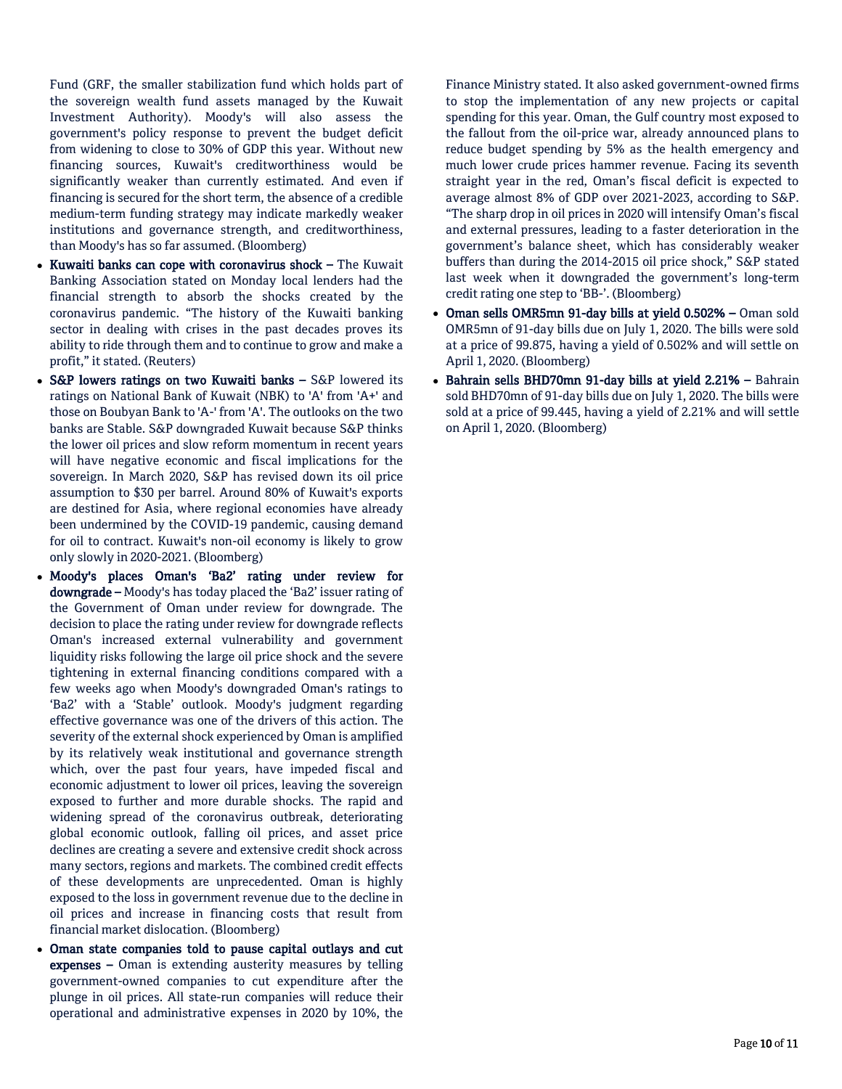Fund (GRF, the smaller stabilization fund which holds part of the sovereign wealth fund assets managed by the Kuwait Investment Authority). Moody's will also assess the government's policy response to prevent the budget deficit from widening to close to 30% of GDP this year. Without new financing sources, Kuwait's creditworthiness would be significantly weaker than currently estimated. And even if financing is secured for the short term, the absence of a credible medium-term funding strategy may indicate markedly weaker institutions and governance strength, and creditworthiness, than Moody's has so far assumed. (Bloomberg)

- Kuwaiti banks can cope with coronavirus shock The Kuwait Banking Association stated on Monday local lenders had the financial strength to absorb the shocks created by the coronavirus pandemic. "The history of the Kuwaiti banking sector in dealing with crises in the past decades proves its ability to ride through them and to continue to grow and make a profit," it stated. (Reuters)
- S&P lowers ratings on two Kuwaiti banks S&P lowered its ratings on National Bank of Kuwait (NBK) to 'A' from 'A+' and those on Boubyan Bank to 'A-' from 'A'. The outlooks on the two banks are Stable. S&P downgraded Kuwait because S&P thinks the lower oil prices and slow reform momentum in recent years will have negative economic and fiscal implications for the sovereign. In March 2020, S&P has revised down its oil price assumption to \$30 per barrel. Around 80% of Kuwait's exports are destined for Asia, where regional economies have already been undermined by the COVID-19 pandemic, causing demand for oil to contract. Kuwait's non-oil economy is likely to grow only slowly in 2020-2021. (Bloomberg)
- Moody's places Oman's 'Ba2' rating under review for downgrade – Moody's has today placed the 'Ba2' issuer rating of the Government of Oman under review for downgrade. The decision to place the rating under review for downgrade reflects Oman's increased external vulnerability and government liquidity risks following the large oil price shock and the severe tightening in external financing conditions compared with a few weeks ago when Moody's downgraded Oman's ratings to 'Ba2' with a 'Stable' outlook. Moody's judgment regarding effective governance was one of the drivers of this action. The severity of the external shock experienced by Oman is amplified by its relatively weak institutional and governance strength which, over the past four years, have impeded fiscal and economic adjustment to lower oil prices, leaving the sovereign exposed to further and more durable shocks. The rapid and widening spread of the coronavirus outbreak, deteriorating global economic outlook, falling oil prices, and asset price declines are creating a severe and extensive credit shock across many sectors, regions and markets. The combined credit effects of these developments are unprecedented. Oman is highly exposed to the loss in government revenue due to the decline in oil prices and increase in financing costs that result from financial market dislocation. (Bloomberg)
- Oman state companies told to pause capital outlays and cut expenses – Oman is extending austerity measures by telling government-owned companies to cut expenditure after the plunge in oil prices. All state-run companies will reduce their operational and administrative expenses in 2020 by 10%, the

Finance Ministry stated. It also asked government-owned firms to stop the implementation of any new projects or capital spending for this year. Oman, the Gulf country most exposed to the fallout from the oil-price war, already announced plans to reduce budget spending by 5% as the health emergency and much lower crude prices hammer revenue. Facing its seventh straight year in the red, Oman's fiscal deficit is expected to average almost 8% of GDP over 2021-2023, according to S&P. "The sharp drop in oil prices in 2020 will intensify Oman's fiscal and external pressures, leading to a faster deterioration in the government's balance sheet, which has considerably weaker buffers than during the 2014-2015 oil price shock," S&P stated last week when it downgraded the government's long-term credit rating one step to 'BB-'. (Bloomberg)

- Oman sells OMR5mn 91-day bills at yield 0.502% Oman sold OMR5mn of 91-day bills due on July 1, 2020. The bills were sold at a price of 99.875, having a yield of 0.502% and will settle on April 1, 2020. (Bloomberg)
- Bahrain sells BHD70mn 91-day bills at yield 2.21% Bahrain sold BHD70mn of 91-day bills due on July 1, 2020. The bills were sold at a price of 99.445, having a yield of 2.21% and will settle on April 1, 2020. (Bloomberg)